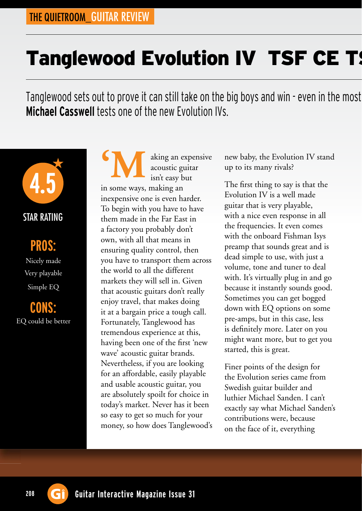# Tanglewood Evolution IV TSF CE TS

Tanglewood sets out to prove it can still take on the big boys and win - even in the most **Michael Casswell** tests one of the new Evolution IVs.



#### STAR RATING

### **PROS:**

Nicely made Very playable Simple EQ

**CONS:** EQ could be better

aking an expensive acoustic guitar isn't easy but in some ways, making an inexpensive one is even harder. To begin with you have to have them made in the Far East in a factory you probably don't own, with all that means in ensuring quality control, then you have to transport them across the world to all the different markets they will sell in. Given that acoustic guitars don't really enjoy travel, that makes doing it at a bargain price a tough call. Fortunately, Tanglewood has tremendous experience at this, having been one of the first 'new wave' acoustic guitar brands. Nevertheless, if you are looking for an affordable, easily playable and usable acoustic guitar, you are absolutely spoilt for choice in today's market. Never has it been so easy to get so much for your money, so how does Tanglewood's **'M**

new baby, the Evolution IV stand up to its many rivals?

The first thing to say is that the Evolution IV is a well made guitar that is very playable, with a nice even response in all the frequencies. It even comes with the onboard Fishman Isys preamp that sounds great and is dead simple to use, with just a volume, tone and tuner to deal with. It's virtually plug in and go because it instantly sounds good. Sometimes you can get bogged down with EQ options on some pre-amps, but in this case, less is definitely more. Later on you might want more, but to get you started, this is great.

Finer points of the design for the Evolution series came from Swedish guitar builder and luthier Michael Sanden. I can't exactly say what Michael Sanden's contributions were, because on the face of it, everything

208 **G**<sup> $\hat{}$ </sup> Guitar Interactive Magazine Issue 31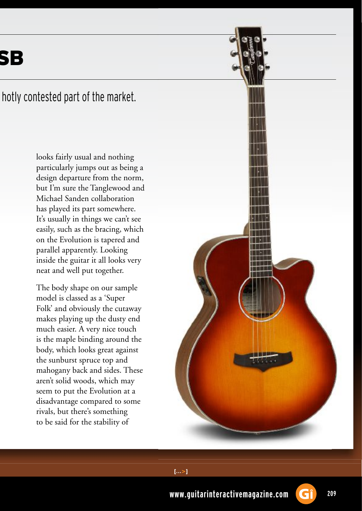SB

#### hotly contested part of the market.

looks fairly usual and nothing particularly jumps out as being a design departure from the norm, but I'm sure the Tanglewood and Michael Sanden collaboration has played its part somewhere. It's usually in things we can't see easily, such as the bracing, which on the Evolution is tapered and parallel apparently. Looking inside the guitar it all looks very neat and well put together.

The body shape on our sample model is classed as a 'Super Folk' and obviously the cutaway makes playing up the dusty end much easier. A very nice touch is the maple binding around the body, which looks great against the sunburst spruce top and mahogany back and sides. These aren't solid woods, which may seem to put the Evolution at a disadvantage compared to some rivals, but there's something to be said for the stability of





 $[...>]$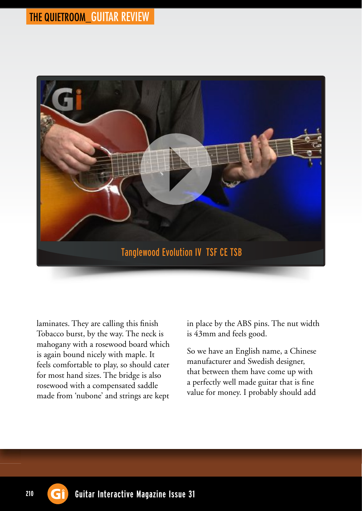

laminates. They are calling this finish Tobacco burst, by the way. The neck is mahogany with a rosewood board which is again bound nicely with maple. It feels comfortable to play, so should cater for most hand sizes. The bridge is also rosewood with a compensated saddle made from 'nubone' and strings are kept

in place by the ABS pins. The nut width is 43mm and feels good.

So we have an English name, a Chinese manufacturer and Swedish designer, that between them have come up with a perfectly well made guitar that is fine value for money. I probably should add

210 **G**<sup> $\hat{}$ </sup> Guitar Interactive Magazine Issue 31